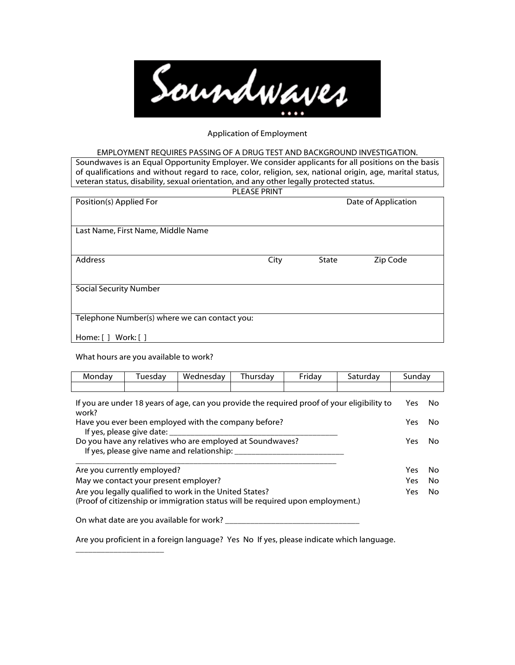

### Application of Employment

#### EMPLOYMENT REQUIRES PASSING OF A DRUG TEST AND BACKGROUND INVESTIGATION.

Soundwaves is an Equal Opportunity Employer. We consider applicants for all positions on the basis of qualifications and without regard to race, color, religion, sex, national origin, age, marital status, veteran status, disability, sexual orientation, and any other legally protected status. **PLEASE PRINT** 

| PLEASE PRINT |                     |          |
|--------------|---------------------|----------|
|              | Date of Application |          |
|              |                     |          |
|              |                     |          |
|              |                     |          |
|              |                     | Zip Code |
|              |                     |          |
|              |                     |          |
|              |                     |          |
|              |                     |          |
|              |                     |          |
|              | City                | State    |

What hours are you available to work?

\_\_\_\_\_\_\_\_\_\_\_\_\_\_\_\_\_\_\_\_\_

| Monday | Tuesday                                  | Wednesday                                                                      | Thursday | Friday | Saturday                                                                                    | Sunday |     |
|--------|------------------------------------------|--------------------------------------------------------------------------------|----------|--------|---------------------------------------------------------------------------------------------|--------|-----|
|        |                                          |                                                                                |          |        |                                                                                             |        |     |
| work?  |                                          |                                                                                |          |        | If you are under 18 years of age, can you provide the required proof of your eligibility to | Yes    | No. |
|        |                                          | Have you ever been employed with the company before?                           |          |        |                                                                                             | Yes    | No. |
|        | If yes, please give date:                |                                                                                |          |        |                                                                                             |        |     |
|        |                                          | Do you have any relatives who are employed at Soundwaves?                      |          |        |                                                                                             | Yes    | No. |
|        |                                          | If yes, please give name and relationship:                                     |          |        |                                                                                             |        |     |
|        | Are you currently employed?              |                                                                                |          |        |                                                                                             | Yes    | No. |
|        | May we contact your present employer?    |                                                                                |          |        |                                                                                             | Yes    | No. |
|        |                                          | Are you legally qualified to work in the United States?                        |          |        |                                                                                             | Yes    | No  |
|        |                                          | (Proof of citizenship or immigration status will be required upon employment.) |          |        |                                                                                             |        |     |
|        | On what date are you available for work? |                                                                                |          |        |                                                                                             |        |     |
|        |                                          |                                                                                |          |        |                                                                                             |        |     |

Are you proficient in a foreign language? Yes No If yes, please indicate which language.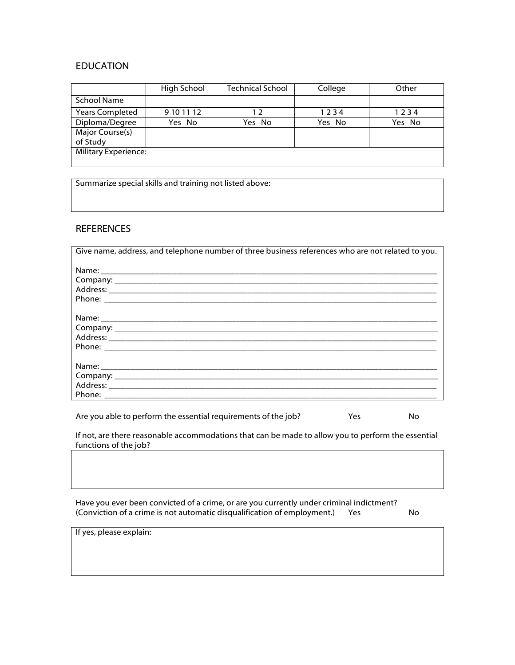# EDUCATION

|                             | High School | <b>Technical School</b> | College | Other  |
|-----------------------------|-------------|-------------------------|---------|--------|
| <b>School Name</b>          |             |                         |         |        |
| <b>Years Completed</b>      | 9 10 11 12  | 12                      | 1234    | 1234   |
| Diploma/Degree              | Yes No      | Yes No                  | Yes No  | Yes No |
| Major Course(s)             |             |                         |         |        |
| of Study                    |             |                         |         |        |
| <b>Military Experience:</b> |             |                         |         |        |
|                             |             |                         |         |        |

Summarize special skills and training not listed above:

## REFERENCES

| Give name, address, and telephone number of three business references who are not related to you. |
|---------------------------------------------------------------------------------------------------|
|                                                                                                   |
|                                                                                                   |
|                                                                                                   |
|                                                                                                   |

Are you able to perform the essential requirements of the job? Yes Yes No

If not, are there reasonable accommodations that can be made to allow you to perform the essential functions of the job?

| Have you ever been convicted of a crime, or are you currently under criminal indictment? |    |
|------------------------------------------------------------------------------------------|----|
| (Conviction of a crime is not automatic disqualification of employment.)<br>Yes          | No |

If yes, please explain: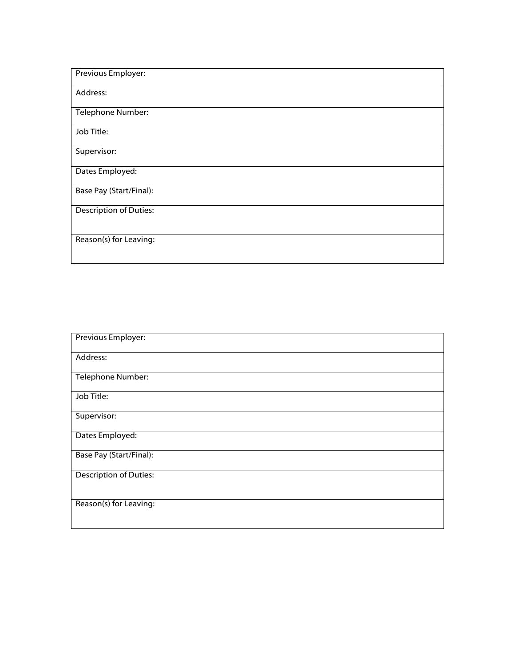| Previous Employer:            |
|-------------------------------|
|                               |
| Address:                      |
| Telephone Number:             |
|                               |
| Job Title:                    |
| Supervisor:                   |
| Dates Employed:               |
|                               |
| Base Pay (Start/Final):       |
| <b>Description of Duties:</b> |
|                               |
| Reason(s) for Leaving:        |
|                               |

| Previous Employer:             |
|--------------------------------|
| Address:                       |
|                                |
| Telephone Number:              |
| Job Title:                     |
| Supervisor:                    |
| Dates Employed:                |
| <b>Base Pay (Start/Final):</b> |
| <b>Description of Duties:</b>  |
| Reason(s) for Leaving:         |